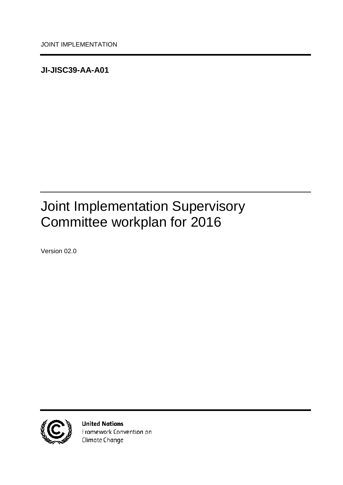<span id="page-0-0"></span>**JI-JISC39-AA-A01**

# <span id="page-0-1"></span>Joint Implementation Supervisory Committee workplan for 2016

<span id="page-0-2"></span>Version 02.0



**United Nations** Framework Convention on Climate Change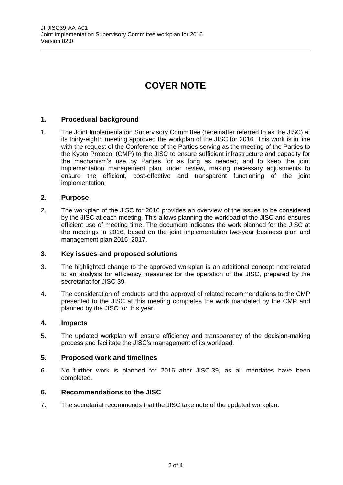# **COVER NOTE**

### **1. Procedural background**

1. The Joint Implementation Supervisory Committee (hereinafter referred to as the JISC) at its thirty-eighth meeting approved the workplan of the JISC for 2016. This work is in line with the request of the Conference of the Parties serving as the meeting of the Parties to the Kyoto Protocol (CMP) to the JISC to ensure sufficient infrastructure and capacity for the mechanism's use by Parties for as long as needed, and to keep the joint implementation management plan under review, making necessary adjustments to ensure the efficient, cost-effective and transparent functioning of the joint implementation.

#### **2. Purpose**

2. The workplan of the JISC for 2016 provides an overview of the issues to be considered by the JISC at each meeting. This allows planning the workload of the JISC and ensures efficient use of meeting time. The document indicates the work planned for the JISC at the meetings in 2016, based on the joint implementation two-year business plan and management plan 2016–2017.

#### **3. Key issues and proposed solutions**

- 3. The highlighted change to the approved workplan is an additional concept note related to an analysis for efficiency measures for the operation of the JISC, prepared by the secretariat for JISC 39.
- 4. The consideration of products and the approval of related recommendations to the CMP presented to the JISC at this meeting completes the work mandated by the CMP and planned by the JISC for this year.

#### **4. Impacts**

5. The updated workplan will ensure efficiency and transparency of the decision-making process and facilitate the JISC's management of its workload.

#### **5. Proposed work and timelines**

6. No further work is planned for 2016 after JISC 39, as all mandates have been completed.

#### **6. Recommendations to the JISC**

7. The secretariat recommends that the JISC take note of the updated workplan.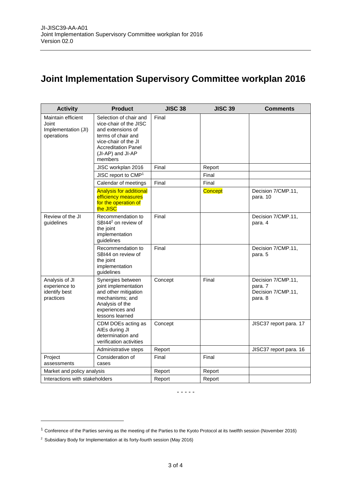## **Joint Implementation Supervisory Committee workplan 2016**

| <b>Activity</b>                                                  | <b>Product</b>                                                                                                                                                                    | <b>JISC 38</b> | <b>JISC 39</b> | <b>Comments</b>                                                |
|------------------------------------------------------------------|-----------------------------------------------------------------------------------------------------------------------------------------------------------------------------------|----------------|----------------|----------------------------------------------------------------|
| Maintain efficient<br>Joint<br>Implementation (JI)<br>operations | Selection of chair and<br>vice-chair of the JISC<br>and extensions of<br>terms of chair and<br>vice-chair of the JI<br><b>Accreditation Panel</b><br>(JI-AP) and JI-AP<br>members | Final          |                |                                                                |
|                                                                  | JISC workplan 2016                                                                                                                                                                | Final          | Report         |                                                                |
|                                                                  | JISC report to CMP <sup>1</sup>                                                                                                                                                   |                | Final          |                                                                |
|                                                                  | Calendar of meetings                                                                                                                                                              | Final          | Final          |                                                                |
|                                                                  | <b>Analysis for additional</b><br>efficiency measures<br>for the operation of<br>the JISC                                                                                         |                | Concept        | Decision 7/CMP.11,<br>para. 10                                 |
| Review of the JI<br>guidelines                                   | Recommendation to<br>SBI44 <sup>2</sup> on review of<br>the joint<br>implementation<br>guidelines                                                                                 | Final          |                | Decision 7/CMP.11,<br>para. 4                                  |
|                                                                  | Recommendation to<br>SBI44 on review of<br>the joint<br>implementation<br>guidelines                                                                                              | Final          |                | Decision 7/CMP.11,<br>para. 5                                  |
| Analysis of JI<br>experience to<br>identify best<br>practices    | Synergies between<br>joint implementation<br>and other mitigation<br>mechanisms; and<br>Analysis of the<br>experiences and<br>lessons learned                                     | Concept        | Final          | Decision 7/CMP.11,<br>para. 7<br>Decision 7/CMP.11,<br>para. 8 |
|                                                                  | CDM DOEs acting as<br>AIEs during JI<br>determination and<br>verification activities                                                                                              | Concept        |                | JISC37 report para. 17                                         |
|                                                                  | Administrative steps                                                                                                                                                              | Report         |                | JISC37 report para. 16                                         |
| Project<br>assessments                                           | Consideration of<br>cases                                                                                                                                                         | Final          | Final          |                                                                |
| Market and policy analysis                                       |                                                                                                                                                                                   | Report         | Report         |                                                                |
| Interactions with stakeholders                                   |                                                                                                                                                                                   | Report         | Report         |                                                                |

- - - - -

 $\overline{a}$ 

<sup>1</sup> Conference of the Parties serving as the meeting of the Parties to the Kyoto Protocol at its twelfth session (November 2016)

<sup>&</sup>lt;sup>2</sup> Subsidiary Body for Implementation at its forty-fourth session (May 2016)